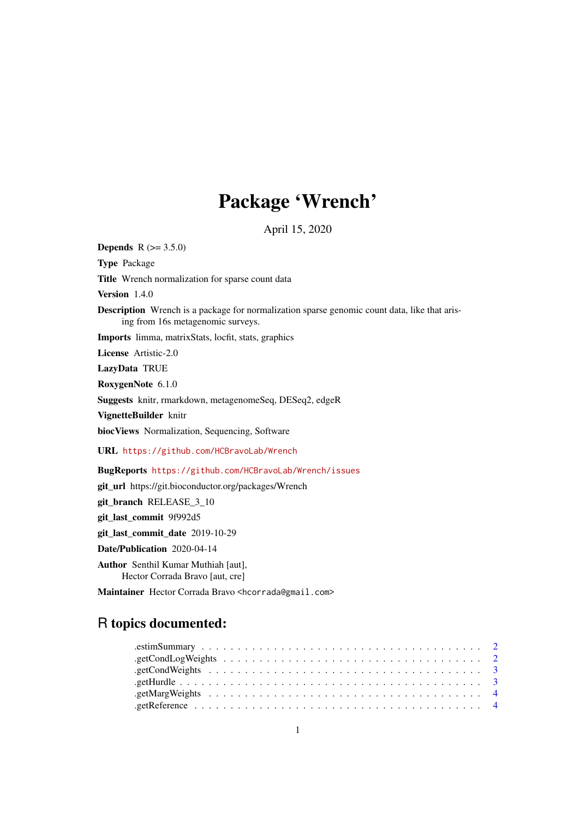# Package 'Wrench'

April 15, 2020

**Depends**  $R (= 3.5.0)$ 

Type Package

Title Wrench normalization for sparse count data

Version 1.4.0

Description Wrench is a package for normalization sparse genomic count data, like that arising from 16s metagenomic surveys.

Imports limma, matrixStats, locfit, stats, graphics

License Artistic-2.0

LazyData TRUE

RoxygenNote 6.1.0

Suggests knitr, rmarkdown, metagenomeSeq, DESeq2, edgeR

VignetteBuilder knitr

biocViews Normalization, Sequencing, Software

URL <https://github.com/HCBravoLab/Wrench>

BugReports <https://github.com/HCBravoLab/Wrench/issues>

git\_url https://git.bioconductor.org/packages/Wrench

git\_branch RELEASE\_3\_10

git\_last\_commit 9f992d5

git\_last\_commit\_date 2019-10-29

Date/Publication 2020-04-14

Author Senthil Kumar Muthiah [aut], Hector Corrada Bravo [aut, cre]

Maintainer Hector Corrada Bravo <hcorrada@gmail.com>

# R topics documented: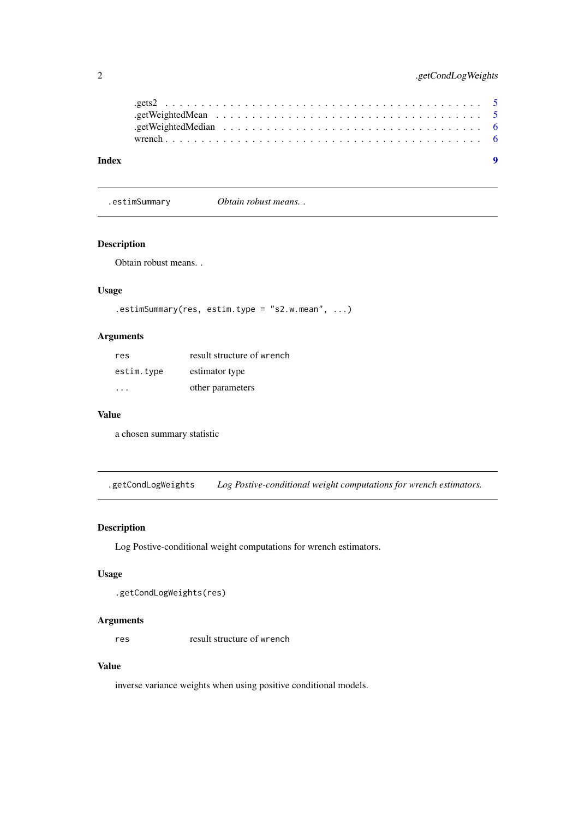<span id="page-1-0"></span>

.estimSummary *Obtain robust means. .*

# Description

Obtain robust means. .

#### Usage

```
.estimSummary(res, estim.type = "s2.w.mean", ...)
```
# Arguments

| res        | result structure of wrench |
|------------|----------------------------|
| estim.type | estimator type             |
|            | other parameters           |

#### Value

a chosen summary statistic

.getCondLogWeights *Log Postive-conditional weight computations for wrench estimators.*

# Description

Log Postive-conditional weight computations for wrench estimators.

# Usage

```
.getCondLogWeights(res)
```
#### Arguments

res result structure of wrench

# Value

inverse variance weights when using positive conditional models.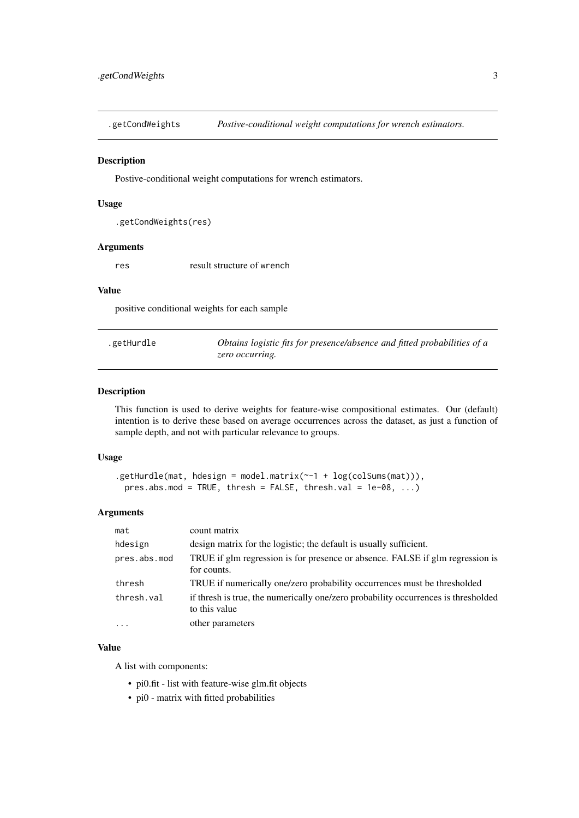<span id="page-2-0"></span>.getCondWeights *Postive-conditional weight computations for wrench estimators.*

#### Description

Postive-conditional weight computations for wrench estimators.

#### Usage

```
.getCondWeights(res)
```
#### Arguments

res result structure of wrench

#### Value

positive conditional weights for each sample

| .getHurdle | Obtains logistic fits for presence/absence and fitted probabilities of a |
|------------|--------------------------------------------------------------------------|
|            | zero occurring.                                                          |

#### Description

This function is used to derive weights for feature-wise compositional estimates. Our (default) intention is to derive these based on average occurrences across the dataset, as just a function of sample depth, and not with particular relevance to groups.

#### Usage

```
.getHurdle(mat, hdesign = model.matrix(\sim-1 + log(colSums(mat))),
 pres.abs.mod = TRUE, thresh = FALSE, thresh.val = 1e-08, ...)
```
#### Arguments

| mat          | count matrix                                                                                        |
|--------------|-----------------------------------------------------------------------------------------------------|
| hdesign      | design matrix for the logistic; the default is usually sufficient.                                  |
| pres.abs.mod | TRUE if glm regression is for presence or absence. FALSE if glm regression is<br>for counts.        |
| thresh       | TRUE if numerically one/zero probability occurrences must be thresholded                            |
| thresh.val   | if thresh is true, the numerically one/zero probability occurrences is thresholded<br>to this value |
| $\ddots$ .   | other parameters                                                                                    |

#### Value

A list with components:

- pi0.fit list with feature-wise glm.fit objects
- pi0 matrix with fitted probabilities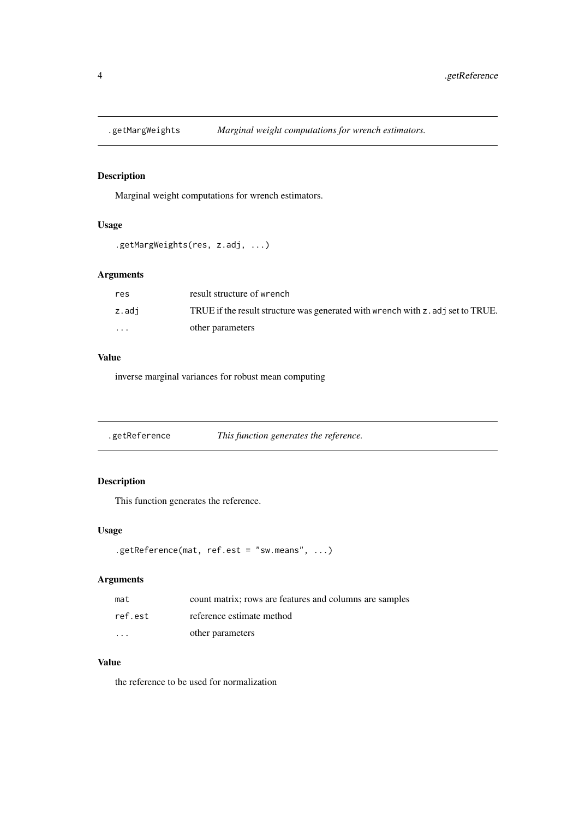<span id="page-3-0"></span>

# Description

Marginal weight computations for wrench estimators.

#### Usage

```
.getMargWeights(res, z.adj, ...)
```
# Arguments

| res      | result structure of wrench                                                      |
|----------|---------------------------------------------------------------------------------|
| z.adi    | TRUE if the result structure was generated with wrench with z, adj set to TRUE. |
| $\cdots$ | other parameters                                                                |

#### Value

inverse marginal variances for robust mean computing

.getReference *This function generates the reference.*

# Description

This function generates the reference.

# Usage

```
.getReference(mat, ref.est = "sw.means", ...)
```
#### Arguments

| mat      | count matrix; rows are features and columns are samples |
|----------|---------------------------------------------------------|
| ref.est  | reference estimate method                               |
| $\cdots$ | other parameters                                        |

#### Value

the reference to be used for normalization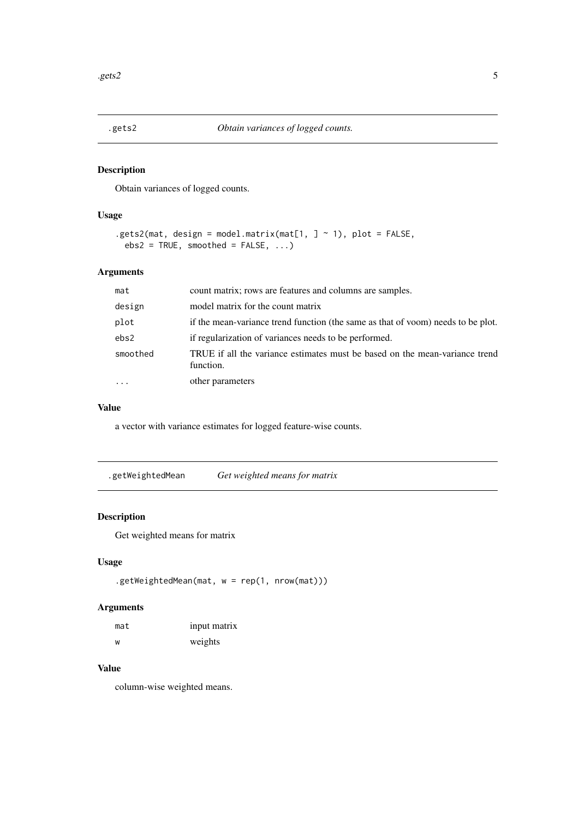<span id="page-4-0"></span>

# Description

Obtain variances of logged counts.

#### Usage

```
.gets2(mat, design = model.matrix(mat[1, ] ~ 1), plot = FALSE,
 ebs2 = TRUE, smoothed = FALSE, ...)
```
#### Arguments

| mat      | count matrix; rows are features and columns are samples.                                 |
|----------|------------------------------------------------------------------------------------------|
| design   | model matrix for the count matrix                                                        |
| plot     | if the mean-variance trend function (the same as that of voom) needs to be plot.         |
| ebs2     | if regularization of variances needs to be performed.                                    |
| smoothed | TRUE if all the variance estimates must be based on the mean-variance trend<br>function. |
| $\cdots$ | other parameters                                                                         |

#### Value

a vector with variance estimates for logged feature-wise counts.

.getWeightedMean *Get weighted means for matrix*

# Description

Get weighted means for matrix

#### Usage

```
.getWeightedMean(mat, w = rep(1, nrow(mat)))
```
# Arguments

| mat | input matrix |
|-----|--------------|
| w   | weights      |

#### Value

column-wise weighted means.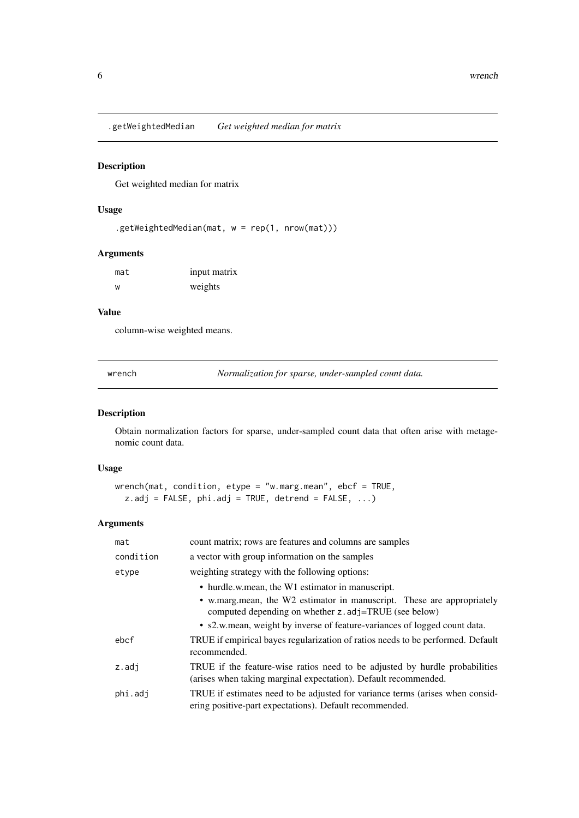<span id="page-5-0"></span>.getWeightedMedian *Get weighted median for matrix*

#### Description

Get weighted median for matrix

# Usage

```
.getWeightedMedian(mat, w = rep(1, nrow(mat)))
```
#### Arguments

| mat | input matrix |
|-----|--------------|
| w   | weights      |

# Value

column-wise weighted means.

wrench *Normalization for sparse, under-sampled count data.*

#### Description

Obtain normalization factors for sparse, under-sampled count data that often arise with metagenomic count data.

# Usage

```
wrench(mat, condition, etype = "w.marg.mean", ebcf = TRUE,
  z.add = FALSE, phi.add = TRUE, detrend = FALSE, ...)
```
#### Arguments

| mat       | count matrix; rows are features and columns are samples                                                                                        |
|-----------|------------------------------------------------------------------------------------------------------------------------------------------------|
| condition | a vector with group information on the samples                                                                                                 |
| etype     | weighting strategy with the following options:                                                                                                 |
|           | • hurdle.w.mean, the W1 estimator in manuscript.                                                                                               |
|           | • w.marg.mean, the W2 estimator in manuscript. These are appropriately<br>computed depending on whether z.adj=TRUE (see below)                 |
|           | • s2, w. mean, weight by inverse of feature-variances of logged count data.                                                                    |
| ebcf      | TRUE if empirical bayes regularization of ratios needs to be performed. Default<br>recommended.                                                |
| $z$ .adj  | TRUE if the feature-wise ratios need to be adjusted by hurdle probabilities<br>(arises when taking marginal expectation). Default recommended. |
| phi.adj   | TRUE if estimates need to be adjusted for variance terms (arises when consid-<br>ering positive-part expectations). Default recommended.       |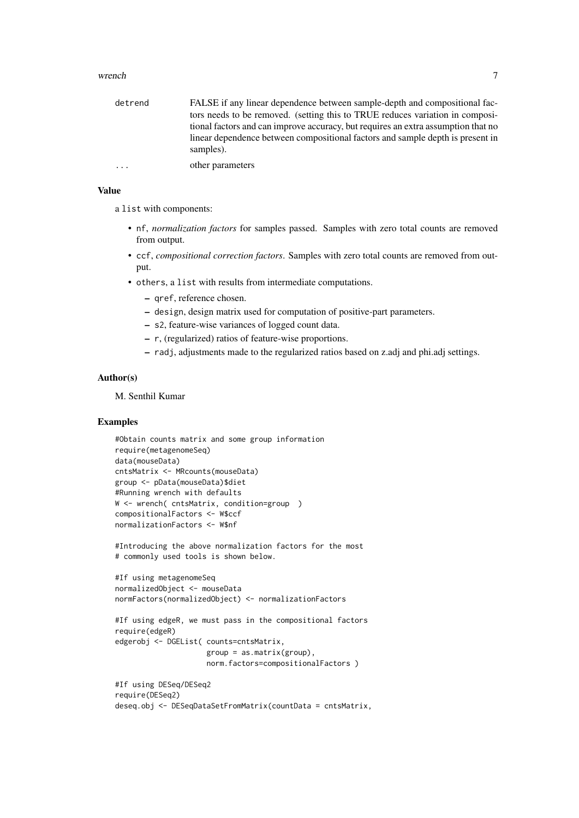#### wrench  $\sim$  7

| detrend    | FALSE if any linear dependence between sample-depth and compositional fac-                  |
|------------|---------------------------------------------------------------------------------------------|
|            | tors needs to be removed. (setting this to TRUE reduces variation in composi-               |
|            | tional factors and can improve accuracy, but requires an extra assumption that no           |
|            | linear dependence between compositional factors and sample depth is present in<br>samples). |
| $\ddots$ . | other parameters                                                                            |

# Value

a list with components:

- nf, *normalization factors* for samples passed. Samples with zero total counts are removed from output.
- ccf, *compositional correction factors*. Samples with zero total counts are removed from output.
- others, a list with results from intermediate computations.
	- qref, reference chosen.
	- design, design matrix used for computation of positive-part parameters.
	- s2, feature-wise variances of logged count data.
	- r, (regularized) ratios of feature-wise proportions.
	- radj, adjustments made to the regularized ratios based on z.adj and phi.adj settings.

# Author(s)

M. Senthil Kumar

#### Examples

```
#Obtain counts matrix and some group information
require(metagenomeSeq)
data(mouseData)
cntsMatrix <- MRcounts(mouseData)
group <- pData(mouseData)$diet
#Running wrench with defaults
W <- wrench( cntsMatrix, condition=group )
compositionalFactors <- W$ccf
normalizationFactors <- W$nf
```
#Introducing the above normalization factors for the most # commonly used tools is shown below.

```
#If using metagenomeSeq
normalizedObject <- mouseData
normFactors(normalizedObject) <- normalizationFactors
```

```
#If using edgeR, we must pass in the compositional factors
require(edgeR)
edgerobj <- DGEList( counts=cntsMatrix,
                     group = as.matrix(group),
                     norm.factors=compositionalFactors )
```

```
#If using DESeq/DESeq2
require(DESeq2)
deseq.obj <- DESeqDataSetFromMatrix(countData = cntsMatrix,
```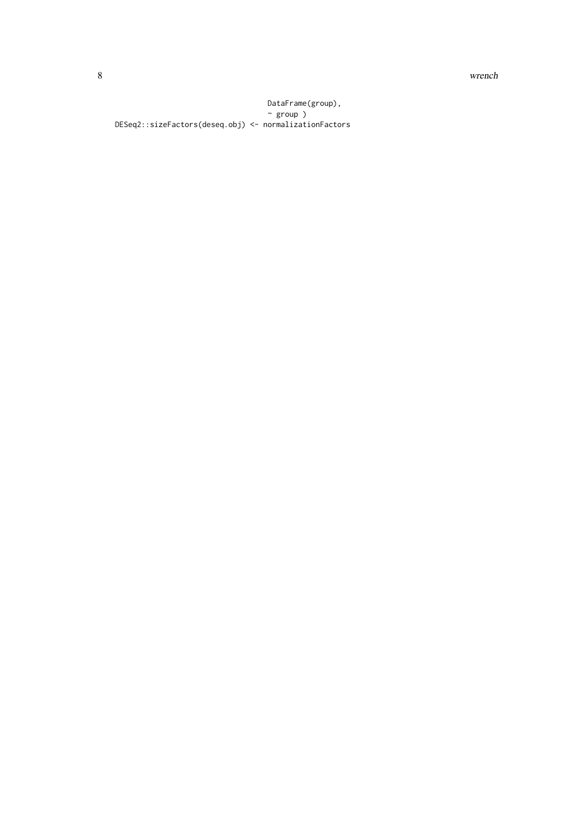8 wrench

DataFrame(group), ~ group ) DESeq2::sizeFactors(deseq.obj) <- normalizationFactors